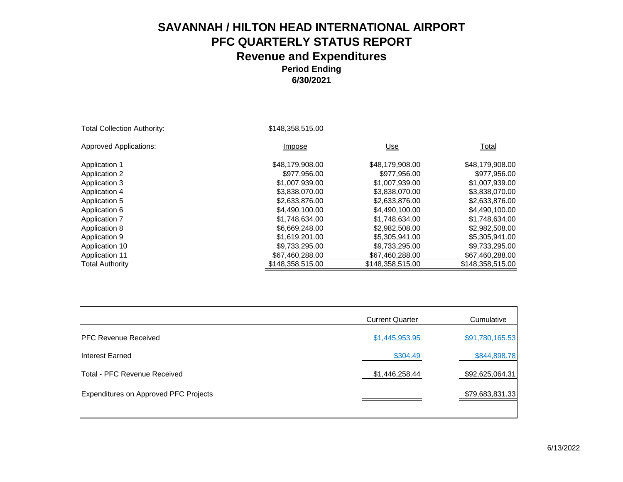| <b>Total Collection Authority:</b> | \$148,358,515.00 |                  |                  |
|------------------------------------|------------------|------------------|------------------|
| <b>Approved Applications:</b>      | Impose           | Use              | Total            |
| Application 1                      | \$48,179,908.00  | \$48,179,908.00  | \$48,179,908.00  |
| <b>Application 2</b>               | \$977,956.00     | \$977,956.00     | \$977,956.00     |
| Application 3                      | \$1,007,939.00   | \$1,007,939.00   | \$1,007,939.00   |
| Application 4                      | \$3,838,070,00   | \$3,838,070.00   | \$3,838,070.00   |
| Application 5                      | \$2,633,876.00   | \$2,633,876.00   | \$2,633,876.00   |
| Application 6                      | \$4,490,100,00   | \$4,490,100,00   | \$4,490,100.00   |
| Application 7                      | \$1,748,634.00   | \$1,748,634.00   | \$1,748,634.00   |
| Application 8                      | \$6,669,248.00   | \$2,982,508,00   | \$2,982,508.00   |
| Application 9                      | \$1,619,201.00   | \$5,305,941.00   | \$5,305,941.00   |
| Application 10                     | \$9,733,295.00   | \$9,733,295.00   | \$9,733,295.00   |
| <b>Application 11</b>              | \$67,460,288.00  | \$67,460,288.00  | \$67,460,288.00  |
| <b>Total Authority</b>             | \$148.358.515.00 | \$148,358,515.00 | \$148,358,515.00 |

|                                              | <b>Current Quarter</b> | Cumulative      |
|----------------------------------------------|------------------------|-----------------|
| <b>IPFC Revenue Received</b>                 | \$1,445,953.95         | \$91,780,165.53 |
| Interest Earned                              | \$304.49               | \$844,898.78    |
| Total - PFC Revenue Received                 | \$1,446,258.44         | \$92,625,064.31 |
| <b>Expenditures on Approved PFC Projects</b> |                        | \$79,683,831.33 |
|                                              |                        |                 |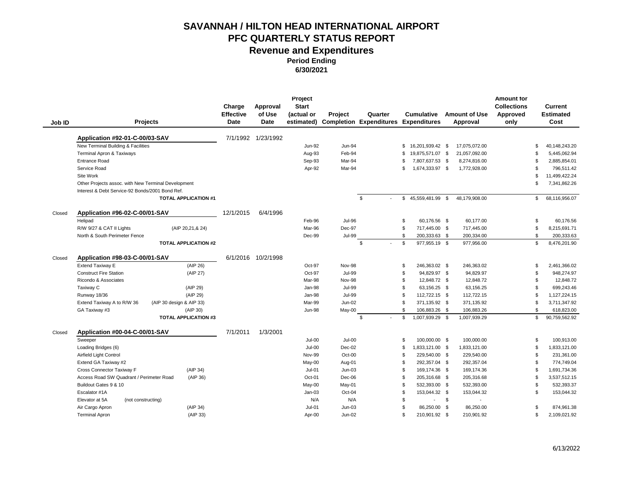| Job ID | <b>Projects</b>                                     |                             | Charge<br><b>Effective</b><br>Date | Approval<br>of Use<br><b>Date</b> | Project<br><b>Start</b><br>(actual or<br>estimated) | Project       | Quarter<br><b>Completion Expenditures Expenditures</b> | <b>Cumulative</b>      | <b>Amount of Use</b><br>Approval | <b>Amount for</b><br><b>Collections</b><br>Approved<br>only | <b>Current</b><br><b>Estimated</b><br>Cost |
|--------|-----------------------------------------------------|-----------------------------|------------------------------------|-----------------------------------|-----------------------------------------------------|---------------|--------------------------------------------------------|------------------------|----------------------------------|-------------------------------------------------------------|--------------------------------------------|
|        | Application #92-01-C-00/03-SAV                      |                             |                                    | 7/1/1992 1/23/1992                |                                                     |               |                                                        |                        |                                  |                                                             |                                            |
|        | New Terminal Building & Facilities                  |                             |                                    |                                   | Jun-92                                              | Jun-94        |                                                        | \$<br>16,201,939.42 \$ | 17,075,072.00                    |                                                             | 40.148.243.20<br>\$.                       |
|        | Terminal Apron & Taxiways                           |                             |                                    |                                   | Aug-93                                              | Feb-94        |                                                        | 19,875,571.07 \$<br>\$ | 21,057,092.00                    |                                                             | $\mathfrak{L}$<br>5,445,062.94             |
|        | <b>Entrance Road</b>                                |                             |                                    |                                   | Sep-93                                              | Mar-94        |                                                        | 7,807,637.53 \$<br>\$  | 8,274,816.00                     |                                                             | \$<br>2,885,854.01                         |
|        | Service Road                                        |                             |                                    |                                   | Apr-92                                              | Mar-94        |                                                        | \$<br>1,674,333.97 \$  | 1,772,928.00                     |                                                             | $\mathfrak{L}$<br>796.511.42               |
|        | Site Work                                           |                             |                                    |                                   |                                                     |               |                                                        |                        |                                  |                                                             | S<br>11,499,422.24                         |
|        | Other Projects assoc. with New Terminal Development |                             |                                    |                                   |                                                     |               |                                                        |                        |                                  |                                                             | \$<br>7,341,862.26                         |
|        | Interest & Debt Service-92 Bonds/2001 Bond Ref.     |                             |                                    |                                   |                                                     |               |                                                        |                        |                                  |                                                             |                                            |
|        |                                                     | <b>TOTAL APPLICATION #1</b> |                                    |                                   |                                                     |               | \$                                                     | \$<br>45,559,481.99 \$ | 48,179,908.00                    |                                                             | \$<br>68,116,956.07                        |
| Closed | Application #96-02-C-00/01-SAV                      |                             | 12/1/2015                          | 6/4/1996                          |                                                     |               |                                                        |                        |                                  |                                                             |                                            |
|        | Helipad                                             |                             |                                    |                                   | Feb-96                                              | <b>Jul-96</b> |                                                        | \$<br>60,176.56 \$     | 60,177.00                        |                                                             | \$<br>60,176.56                            |
|        | R/W 9/27 & CAT II Lights                            | (AIP 20,21,& 24)            |                                    |                                   | Mar-96                                              | Dec-97        |                                                        | \$<br>717,445.00 \$    | 717,445.00                       |                                                             | \$<br>8,215,691.71                         |
|        | North & South Perimeter Fence                       |                             |                                    |                                   | Dec-99                                              | <b>Jul-99</b> |                                                        | \$<br>200,333.63 \$    | 200,334.00                       |                                                             | \$<br>200,333.63                           |
|        |                                                     | <b>TOTAL APPLICATION #2</b> |                                    |                                   |                                                     |               | \$                                                     | \$<br>977,955.19 \$    | 977,956.00                       |                                                             | \$<br>8,476,201.90                         |
| Closed | Application #98-03-C-00/01-SAV                      |                             |                                    | 6/1/2016 10/2/1998                |                                                     |               |                                                        |                        |                                  |                                                             |                                            |
|        | <b>Extend Taxiway E</b>                             | (AIP 26)                    |                                    |                                   | Oct-97                                              | Nov-98        |                                                        | \$<br>246,363.02 \$    | 246,363.02                       |                                                             | \$<br>2,461,366.02                         |
|        | <b>Construct Fire Station</b>                       | (AIP 27)                    |                                    |                                   | Oct-97                                              | <b>Jul-99</b> |                                                        | \$<br>94,829.97 \$     | 94,829.97                        |                                                             | \$<br>948,274.97                           |
|        | Ricondo & Associates                                |                             |                                    |                                   | Mar-98                                              | Nov-98        |                                                        | \$<br>12,848.72 \$     | 12,848.72                        |                                                             | 12,848.72<br>\$                            |
|        | Taxiway C                                           | (AIP 29)                    |                                    |                                   | Jan-98                                              | <b>Jul-99</b> |                                                        | \$<br>63,156.25 \$     | 63,156.25                        |                                                             | \$<br>699,243.46                           |
|        | Runway 18/36                                        | (AIP 29)                    |                                    |                                   | Jan-98                                              | <b>Jul-99</b> |                                                        | \$<br>112,722.15 \$    | 112,722.15                       |                                                             | \$<br>1,127,224.15                         |
|        | Extend Taxiway A to R/W 36                          | (AIP 30 design & AIP 33)    |                                    |                                   | Mar-99                                              | Jun-02        |                                                        | \$<br>371,135.92 \$    | 371,135.92                       |                                                             | \$<br>3,711,347.92                         |
|        | GA Taxiway #3                                       | (AIP 30)                    |                                    |                                   | Jun-98                                              | May-00        |                                                        | \$<br>106,883.26 \$    | 106,883.26                       |                                                             | \$<br>618,823.00                           |
|        |                                                     | <b>TOTAL APPLICATION #3</b> |                                    |                                   |                                                     |               | $\mathbb{S}$                                           | \$<br>1,007,939.29 \$  | 1,007,939.29                     |                                                             | \$<br>90,759,562.92                        |
| Closed | Application #00-04-C-00/01-SAV                      |                             | 7/1/2011                           | 1/3/2001                          |                                                     |               |                                                        |                        |                                  |                                                             |                                            |
|        | Sweeper                                             |                             |                                    |                                   | $Jul-00$                                            | $Jul-00$      |                                                        | 100,000.00 \$<br>\$    | 100,000.00                       |                                                             | \$<br>100,913.00                           |
|        | Loading Bridges (6)                                 |                             |                                    |                                   | $Jul-00$                                            | $Dec-02$      |                                                        | \$<br>1,833,121.00 \$  | 1,833,121.00                     |                                                             | \$<br>1,833,121.00                         |
|        | Airfield Light Control                              |                             |                                    |                                   | Nov-99                                              | Oct-00        |                                                        | \$<br>229,540.00 \$    | 229,540.00                       |                                                             | \$<br>231,361.00                           |
|        | Extend GA Taxiway #2                                |                             |                                    |                                   | May-00                                              | Aug-01        |                                                        | 292,357.04 \$<br>\$    | 292,357.04                       |                                                             | \$<br>774,749.04                           |
|        | Cross Connector Taxiway F                           | (AIP 34)                    |                                    |                                   | $Jul-01$                                            | $Jun-03$      |                                                        | \$<br>169,174.36 \$    | 169,174.36                       |                                                             | \$<br>1,691,734.36                         |
|        | Access Road SW Quadrant / Perimeter Road            | (AIP 36)                    |                                    |                                   | Oct-01                                              | Dec-06        |                                                        | \$<br>205,316.68 \$    | 205,316.68                       |                                                             | \$<br>3,537,512.15                         |
|        | Buildout Gates 9 & 10                               |                             |                                    |                                   | May-00                                              | May-01        |                                                        | \$<br>532,393.00 \$    | 532,393.00                       |                                                             | \$<br>532,393.37                           |
|        | Escalator #1A                                       |                             |                                    |                                   | $Jan-03$                                            | Oct-04        |                                                        | \$<br>153,044.32 \$    | 153,044.32                       |                                                             | \$<br>153,044.32                           |
|        | Elevator at 5A<br>(not constructing)                |                             |                                    |                                   | N/A                                                 | N/A           |                                                        | \$                     | \$<br>$\overline{a}$             |                                                             |                                            |
|        | Air Cargo Apron                                     | (AIP 34)                    |                                    |                                   | $Jul-01$                                            | $Jun-03$      |                                                        | \$<br>86,250.00 \$     | 86,250.00                        |                                                             | \$<br>874,961.38                           |
|        | <b>Terminal Apron</b>                               | (AIP 33)                    |                                    |                                   | Apr-00                                              | Jun-02        |                                                        | \$<br>210,901.92 \$    | 210,901.92                       |                                                             | \$<br>2,109,021.92                         |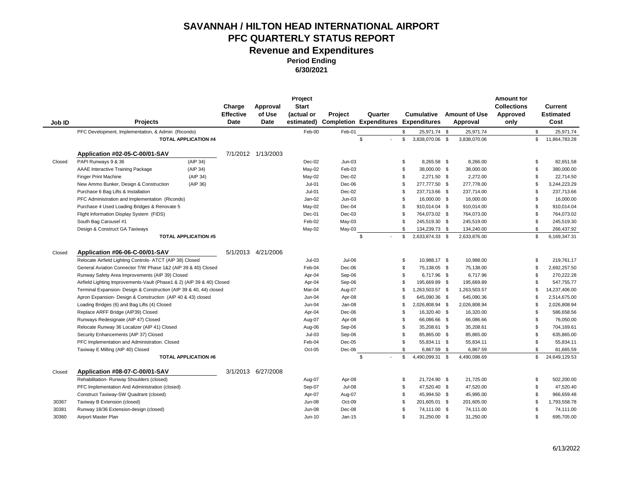**Period Ending** 

**6/30/2021**

| Job ID | <b>Projects</b>                                                                             |                             | Charge<br><b>Effective</b><br>Date | Approval<br>of Use<br>Date | Project<br><b>Start</b><br>(actual or<br>estimated) | Project       | Quarter<br><b>Completion Expenditures Expenditures</b> |                | <b>Cumulative</b> | <b>Amount of Use</b><br>Approval | <b>Amount for</b><br><b>Collections</b><br>Approved<br>only |                | Current<br><b>Estimated</b><br>Cost |
|--------|---------------------------------------------------------------------------------------------|-----------------------------|------------------------------------|----------------------------|-----------------------------------------------------|---------------|--------------------------------------------------------|----------------|-------------------|----------------------------------|-------------------------------------------------------------|----------------|-------------------------------------|
|        | PFC Development, Implementation, & Admin (Ricondo)                                          |                             |                                    |                            | Feb-00                                              | Feb-01        |                                                        | \$             | 25,971.74 \$      | 25,971.74                        |                                                             | \$             | 25,971.74                           |
|        |                                                                                             | <b>TOTAL APPLICATION #4</b> |                                    |                            |                                                     |               | \$                                                     | \$             | 3,838,070.06 \$   | 3,838,070.06                     |                                                             | \$             | 11,864,783.28                       |
|        |                                                                                             |                             |                                    |                            |                                                     |               |                                                        |                |                   |                                  |                                                             |                |                                     |
|        | Application #02-05-C-00/01-SAV                                                              |                             |                                    | 7/1/2012 1/13/2003         |                                                     |               |                                                        |                |                   |                                  |                                                             |                |                                     |
| Closed | PAPI Runways 9 & 36                                                                         | (AIP 34)                    |                                    |                            | Dec-02                                              | $Jun-03$      |                                                        | \$             | 8,265.58 \$       | 8,266.00                         |                                                             | \$             | 82,651.58                           |
|        | AAAE Interactive Training Package                                                           | (AIP 34)                    |                                    |                            | May-02                                              | Feb-03        |                                                        | \$             | 38,000.00 \$      | 38,000.00                        |                                                             | \$             | 380,000.00                          |
|        | <b>Finger Print Machine</b>                                                                 | (AIP 34)                    |                                    |                            | May-02                                              | Dec-02        |                                                        | \$             | 2,271.50 \$       | 2.272.00                         |                                                             | \$             | 22,714.50                           |
|        | New Ammo Bunker, Design & Construction                                                      | (AIP 36)                    |                                    |                            | $Jul-01$                                            | Dec-06        |                                                        | \$             | 277,777.50 \$     | 277,778.00                       |                                                             | \$             | 3,244,223.29                        |
|        | Purchase 6 Bag Lifts & Installation                                                         |                             |                                    |                            | $Jul-01$                                            | Dec-02        |                                                        | \$             | 237,713.66 \$     | 237,714.00                       |                                                             | \$             | 237,713.66                          |
|        | PFC Administration and Implementation (Ricondo)                                             |                             |                                    |                            | Jan-02                                              | $Jun-03$      |                                                        | \$             | 16,000.00 \$      | 16,000.00                        |                                                             | $\mathfrak{L}$ | 16,000.00                           |
|        | Purchase 4 Used Loading Bridges & Renovate 5                                                |                             |                                    |                            | May-02                                              | Dec-04        |                                                        | \$             | 910,014.04 \$     | 910,014.00                       |                                                             | \$             | 910,014.04                          |
|        | Flight Information Display System (FIDS)                                                    |                             |                                    |                            | Dec-01                                              | Dec-03        |                                                        | \$             | 764,073.02 \$     | 764,073.00                       |                                                             | \$             | 764,073.02                          |
|        | South Bag Carousel #1                                                                       |                             |                                    |                            | Feb-02                                              | May-03        |                                                        | \$             | 245,519.30 \$     | 245,519.00                       |                                                             | \$             | 245,519.30                          |
|        | Design & Construct GA Taxiways                                                              |                             |                                    |                            | May-02                                              | May-03        |                                                        | \$             | 134,239.73 \$     | 134,240.00                       |                                                             | \$             | 266,437.92                          |
|        |                                                                                             | <b>TOTAL APPLICATION #5</b> |                                    |                            |                                                     |               | \$                                                     | \$             | 2,633,874.33 \$   | 2,633,876.00                     |                                                             | \$             | 6,169,347.31                        |
|        |                                                                                             |                             |                                    |                            |                                                     |               |                                                        |                |                   |                                  |                                                             |                |                                     |
| Closed | Application #06-06-C-00/01-SAV<br>Relocate Airfield Lighting Controls- ATCT (AIP 38) Closed |                             |                                    | 5/1/2013 4/21/2006         | $Jul-03$                                            | Jul-06        |                                                        | \$             | 10,988.17 \$      | 10,988.00                        |                                                             | \$             | 219,761.17                          |
|        |                                                                                             |                             |                                    |                            |                                                     |               |                                                        |                |                   |                                  |                                                             | \$             |                                     |
|        | General Aviation Connector T/W Phase 1&2 (AIP 39 & 40) Closed                               |                             |                                    |                            | Feb-04                                              | Dec-06        |                                                        | \$             | 75,138.05 \$      | 75,138.00                        |                                                             |                | 2,692,257.50                        |
|        | Runway Safety Area Improvements (AIP 39) Closed                                             |                             |                                    |                            | Apr-04                                              | Sep-06        |                                                        | \$             | 6,717.96 \$       | 6,717.96                         |                                                             | $\mathfrak{L}$ | 270,222.28                          |
|        | Airfield Lighting Improvements-Vault (Phase1 & 2) (AIP 39 & 40) Closed                      |                             |                                    |                            | Apr-04                                              | Sep-06        |                                                        | \$             | 195,669.89 \$     | 195,669.89                       |                                                             | \$             | 547,755.77                          |
|        | Terminal Expansion- Design & Construction (AIP 39 & 40, 44) closed                          |                             |                                    |                            | Mar-04                                              | Aug-07        |                                                        | \$             | 1,263,503.57 \$   | 1,263,503.57                     |                                                             | \$             | 14,237,406.00                       |
|        | Apron Expansion- Design & Construction (AIP 40 & 43) closed                                 |                             |                                    |                            | Jun-04                                              | Apr-08        |                                                        | \$             | 645,090.36 \$     | 645,090.36                       |                                                             | \$             | 2,514,675.00                        |
|        | Loading Bridges (6) and Bag Lifts (4) Closed                                                |                             |                                    |                            | Jun-04                                              | Jan-08        |                                                        | \$             | 2,026,808.94 \$   | 2,026,808.94                     |                                                             | \$             | 2,026,808.94                        |
|        | Replace ARFF Bridge (AIP39) Closed                                                          |                             |                                    |                            | Apr-04                                              | Dec-06        |                                                        | \$             | 16,320.40 \$      | 16,320.00                        |                                                             | \$             | 586,658.56                          |
|        | Runways Redesignate (AIP 47) Closed                                                         |                             |                                    |                            | Aug-07                                              | Apr-08        |                                                        | \$             | 66,086.66 \$      | 66,086.66                        |                                                             | \$             | 76,050.00                           |
|        | Relocate Runway 36 Localizer (AIP 41) Closed                                                |                             |                                    |                            | Aug-06                                              | Sep-06        |                                                        | \$             | 35,208.61 \$      | 35,208.61                        |                                                             | \$             | 704,169.61                          |
|        | Security Enhancements (AIP 37) Closed                                                       |                             |                                    |                            | $Jul-03$                                            | Sep-06        |                                                        | \$             | 85,865.00 \$      | 85,865.00                        |                                                             | \$             | 635,865.00                          |
|        | PFC Implementation and Administration. Closed                                               |                             |                                    |                            | Feb-04                                              | Dec-05        |                                                        | \$             | 55,834.11 \$      | 55,834.11                        |                                                             | \$             | 55,834.11                           |
|        | Taxiway E Milling (AIP 40) Closed                                                           |                             |                                    |                            | Oct-05                                              | Dec-06        |                                                        | \$             | 6,867.59 \$       | 6,867.59                         |                                                             | $\mathfrak{L}$ | 81,665.59                           |
|        |                                                                                             | <b>TOTAL APPLICATION #6</b> |                                    |                            |                                                     |               | \$                                                     | \$             | 4,490,099.31 \$   | 4,490,098.69                     |                                                             | \$             | 24,649,129.53                       |
| Closed | Application #08-07-C-00/01-SAV                                                              |                             |                                    | 3/1/2013 6/27/2008         |                                                     |               |                                                        |                |                   |                                  |                                                             |                |                                     |
|        | Rehabilitation-Runway Shoulders (closed)                                                    |                             |                                    |                            | Aug-07                                              | Apr-08        |                                                        | \$             | 21,724.90 \$      | 21,725.00                        |                                                             | \$             | 502,200.00                          |
|        | PFC Implementation And Administration (closed)                                              |                             |                                    |                            | Sep-07                                              | <b>Jul-08</b> |                                                        | \$             | 47,520.40 \$      | 47,520.00                        |                                                             | \$             | 47,520.40                           |
|        | Construct Taxiway-SW Quadrant (closed)                                                      |                             |                                    |                            | Apr-07                                              | Aug-07        |                                                        | \$             | 45,994.50 \$      | 45,995.00                        |                                                             | \$             | 966,659.48                          |
| 30367  | Taxiway B Extension (closed)                                                                |                             |                                    |                            | Jun-08                                              | Oct-09        |                                                        | \$             | 201,605.01 \$     | 201,605.00                       |                                                             | \$             | 1,793,558.78                        |
| 30381  | Runway 18/36 Extension-design (closed)                                                      |                             |                                    |                            | <b>Jun-08</b>                                       | Dec-08        |                                                        | \$             | 74,111.00 \$      | 74,111.00                        |                                                             | \$             | 74,111.00                           |
| 30360  | Airport Master Plan                                                                         |                             |                                    |                            | Jun-10                                              | Jan-15        |                                                        | $\mathfrak{L}$ | 31,250.00 \$      | 31,250.00                        |                                                             | \$             | 695,705.00                          |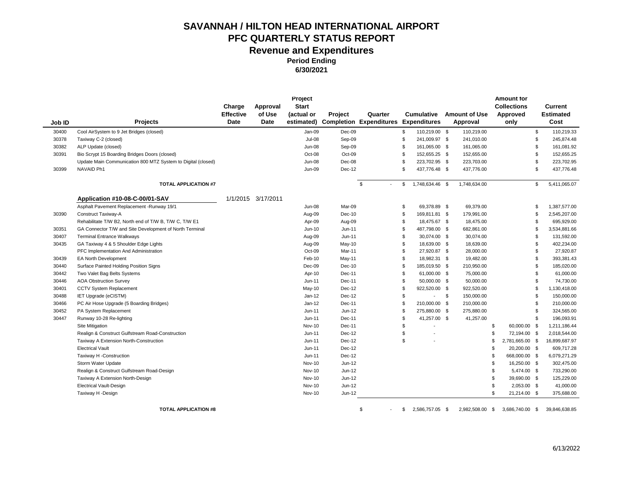**Period Ending** 

**6/30/2021**

|        |                                                              |                  |                    | Project       |          |                                |                |                     |                      | <b>Amount for</b>     |     |                  |
|--------|--------------------------------------------------------------|------------------|--------------------|---------------|----------|--------------------------------|----------------|---------------------|----------------------|-----------------------|-----|------------------|
|        |                                                              | Charge           | Approval           | <b>Start</b>  |          |                                |                |                     |                      | <b>Collections</b>    |     | Current          |
|        |                                                              | <b>Effective</b> | of Use             | (actual or    | Project  | Quarter                        |                | <b>Cumulative</b>   | <b>Amount of Use</b> | Approved              |     | <b>Estimated</b> |
| Job ID | <b>Projects</b>                                              | Date             | <b>Date</b>        | estimated)    |          | <b>Completion Expenditures</b> |                | <b>Expenditures</b> | Approval             | only                  |     | Cost             |
| 30400  | Cool AirSystem to 9 Jet Bridges (closed)                     |                  |                    | Jan-09        | Dec-09   |                                | \$             | 110,219.00 \$       | 110,219.00           |                       | \$  | 110,219.33       |
| 30378  | Taxiway C-2 (closed)                                         |                  |                    | Jul-08        | Sep-09   |                                | \$             | 241,009.97 \$       | 241,010.00           |                       | \$  | 245,874.48       |
| 30382  | ALP Update (closed)                                          |                  |                    | Jun-08        | Sep-09   |                                | \$             | 161,065.00 \$       | 161,065.00           |                       |     | 161,081.92       |
| 30391  | Bio Scrypt 15 Boarding Bridges Doors (closed)                |                  |                    | Oct-08        | Oct-09   |                                | \$             | 152,655.25 \$       | 152,655.00           |                       | \$  | 152,655.25       |
|        | Update Main Communication 800 MTZ System to Digital (closed) |                  |                    | Jun-08        | Dec-08   |                                | \$             | 223,702.95 \$       | 223,703.00           |                       | \$. | 223,702.95       |
| 30399  | NAVAID Ph1                                                   |                  |                    | <b>Jun-09</b> | Dec-12   |                                | $\mathfrak{s}$ | 437,776.48 \$       | 437,776.00           |                       | \$. | 437,776.48       |
|        | <b>TOTAL APPLICATION #7</b>                                  |                  |                    |               |          | \$                             | \$             | 1,748,634.46 \$     | 1,748,634.00         |                       | \$  | 5,411,065.07     |
|        | Application #10-08-C-00/01-SAV                               |                  | 1/1/2015 3/17/2011 |               |          |                                |                |                     |                      |                       |     |                  |
|        | Asphalt Pavement Replacement - Runway 19/1                   |                  |                    | Jun-08        | Mar-09   |                                | \$             | 69,378.89 \$        | 69,379.00            |                       | \$  | 1,387,577.00     |
| 30390  | Construct Taxiway-A                                          |                  |                    | Aug-09        | Dec-10   |                                | \$             | 169,811.81 \$       | 179,991.00           |                       | \$  | 2,545,207.00     |
|        | Rehabilitate T/W B2, North end of T/W B, T/W C, T/W E1       |                  |                    | Apr-09        | Aug-09   |                                | \$             | 18,475.67 \$        | 18,475.00            |                       | \$. | 695,929.00       |
| 30351  | GA Connector T/W and Site Development of North Terminal      |                  |                    | Jun-10        | $Jun-11$ |                                | $\mathfrak{L}$ | 487,798.00 \$       | 682,861.00           |                       |     | 3,534,881.66     |
| 30407  | <b>Terminal Entrance Walkways</b>                            |                  |                    | Aug-09        | $Jun-11$ |                                | \$             | 30,074.00 \$        | 30,074.00            |                       |     | 131,592.00       |
| 30435  | GA Taxiway 4 & 5 Shoulder Edge Lights                        |                  |                    | Aug-09        | May-10   |                                | \$             | 18,639.00 \$        | 18,639.00            |                       | \$. | 402,234.00       |
|        | PFC Implementation And Administration                        |                  |                    | Oct-09        | Mar-11   |                                | \$             | 27,920.87 \$        | 28,000.00            |                       | \$. | 27,920.87        |
| 30439  | EA North Development                                         |                  |                    | Feb-10        | May-11   |                                | \$             | 18,982.31 \$        | 19,482.00            |                       | \$  | 393,381.43       |
| 30440  | Surface Painted Holding Position Signs                       |                  |                    | Dec-09        | $Dec-10$ |                                | \$             | 185,019.50 \$       | 210,950.00           |                       | £.  | 185,020.00       |
| 30442  | Two Valet Bag Belts Systems                                  |                  |                    | Apr-10        | Dec-11   |                                | \$             | 61,000.00 \$        | 75,000.00            |                       | \$. | 61,000.00        |
| 30446  | <b>AOA Obstruction Survey</b>                                |                  |                    | Jun-11        | Dec-11   |                                | \$             | 50,000.00 \$        | 50,000.00            |                       |     | 74,730.00        |
| 30401  | CCTV System Replacement                                      |                  |                    | May-10        | Dec-12   |                                | \$             | 922,520.00 \$       | 922,520.00           |                       |     | 1,130,418.00     |
| 30488  | IET Upgrade (eCISTM)                                         |                  |                    | $Jan-12$      | Dec-12   |                                | \$             | $\blacksquare$      | \$<br>150,000.00     |                       | \$. | 150,000.00       |
| 30466  | PC Air Hose Upgrade (5 Boarding Bridges)                     |                  |                    | Jan-12        | Dec-11   |                                | \$             | 210,000.00 \$       | 210,000.00           |                       | \$. | 210,000.00       |
| 30452  | PA System Replacement                                        |                  |                    | Jun-11        | Jun-12   |                                | \$             | 275,880.00 \$       | 275,880.00           |                       |     | 324,565.00       |
| 30447  | Runway 10-28 Re-lighting                                     |                  |                    | Jun-11        | Dec-11   |                                | $\mathfrak{L}$ | 41,257.00 \$        | 41,257.00            |                       | \$  | 196,093.91       |
|        | Site Mitigation                                              |                  |                    | <b>Nov-10</b> | Dec-11   |                                | \$             |                     |                      | \$<br>60,000.00 \$    |     | 1,211,186.44     |
|        | Realign & Construct Gulfstream Road-Construction             |                  |                    | Jun-11        | Dec-12   |                                | \$             |                     |                      | \$<br>72,194.00 \$    |     | 2,018,544.00     |
|        | Taxiway A Extension North-Construction                       |                  |                    | Jun-11        | Dec-12   |                                | \$             |                     |                      | \$<br>2,781,665.00 \$ |     | 16,899,687.97    |
|        | <b>Electrical Vault</b>                                      |                  |                    | Jun-11        | Dec-12   |                                |                |                     |                      | \$<br>20,200.00 \$    |     | 609,717.28       |
|        | Taxiway H -Construction                                      |                  |                    | Jun-11        | Dec-12   |                                |                |                     |                      | 668,000.00 \$         |     | 6,079,271.29     |
|        | Storm Water Update                                           |                  |                    | Nov-10        | Jun-12   |                                |                |                     |                      | \$<br>16,250.00 \$    |     | 302,475.00       |
|        | Realign & Construct Gulfstream Road-Design                   |                  |                    | Nov-10        | Jun-12   |                                |                |                     |                      | \$<br>5,474.00 \$     |     | 733,290.00       |
|        | Taxiway A Extension North-Design                             |                  |                    | Nov-10        | Jun-12   |                                |                |                     |                      | \$<br>39,690.00 \$    |     | 125,229.00       |
|        | <b>Electrical Vault-Design</b>                               |                  |                    | <b>Nov-10</b> | Jun-12   |                                |                |                     |                      | \$<br>2,053.00 \$     |     | 41,000.00        |
|        | Taxiway H -Design                                            |                  |                    | Nov-10        | Jun-12   |                                |                |                     |                      | \$<br>21,214.00 \$    |     | 375,688.00       |
|        |                                                              |                  |                    |               |          |                                |                |                     |                      |                       |     |                  |

**TOTAL APPLICATION #8**  $\qquad \qquad \qquad$  5 2,586,757.05 \$ 2,982,508.00 \$ 3,686,740.00 \$ 39,846,638.85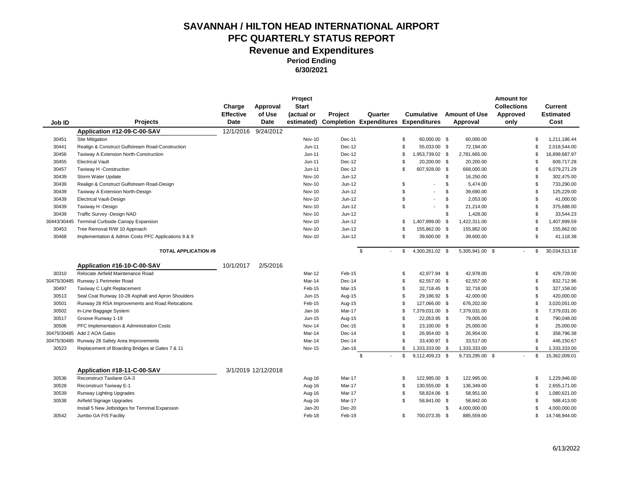| Job ID      | <b>Projects</b>                                     | Charge<br><b>Effective</b><br><b>Date</b> | Approval<br>of Use<br>Date | Project<br><b>Start</b><br>(actual or | Project | Quarter<br>estimated) Completion Expenditures Expenditures |                | <b>Cumulative</b>        |     | <b>Amount of Use</b><br>Approval | <b>Amount for</b><br><b>Collections</b><br>Approved<br>only |                | Current<br><b>Estimated</b><br>Cost |
|-------------|-----------------------------------------------------|-------------------------------------------|----------------------------|---------------------------------------|---------|------------------------------------------------------------|----------------|--------------------------|-----|----------------------------------|-------------------------------------------------------------|----------------|-------------------------------------|
|             | Application #12-09-C-00-SAV                         | 12/1/2016                                 | 9/24/2012                  |                                       |         |                                                            |                |                          |     |                                  |                                                             |                |                                     |
| 30451       | Site Mitigation                                     |                                           |                            | <b>Nov-10</b>                         | Dec-11  |                                                            | \$             | 60,000.00 \$             |     | 60,000.00                        |                                                             | \$             | 1,211,186.44                        |
| 30441       | Realign & Construct Gulfstream Road-Construction    |                                           |                            | Jun-11                                | Dec-12  |                                                            | \$             | 55,033.00 \$             |     | 72,194.00                        |                                                             | \$             | 2,018,544.00                        |
| 30456       | Taxiway A Extension North-Construction              |                                           |                            | $Jun-11$                              | Dec-12  |                                                            | \$             | 1,953,739.02 \$          |     | 2,781,665.00                     |                                                             | \$             | 16,899,687.97                       |
| 30455       | <b>Electrical Vault</b>                             |                                           |                            | $Jun-11$                              | Dec-12  |                                                            | \$             | 20,200.00 \$             |     | 20,200.00                        |                                                             | \$             | 609,717.28                          |
| 30457       | Taxiway H -Construction                             |                                           |                            | $Jun-11$                              | Dec-12  |                                                            | \$             | 607,928.00 \$            |     | 668,000.00                       |                                                             | \$             | 6,079,271.29                        |
| 30439       | Storm Water Update                                  |                                           |                            | Nov-10                                | Jun-12  |                                                            |                |                          | \$  | 16,250.00                        |                                                             | \$             | 302,475.00                          |
| 30439       | Realign & Construct Gulfstream Road-Design          |                                           |                            | Nov-10                                | Jun-12  |                                                            | \$             | $\overline{\phantom{a}}$ | \$  | 5,474.00                         |                                                             | \$             | 733,290.00                          |
| 30439       | Taxiway A Extension North-Design                    |                                           |                            | Nov-10                                | Jun-12  |                                                            | \$             |                          | \$  | 39,690.00                        |                                                             | \$             | 125,229.00                          |
| 30439       | <b>Electrical Vault-Design</b>                      |                                           |                            | <b>Nov-10</b>                         | Jun-12  |                                                            | \$             | $\overline{\phantom{a}}$ | \$  | 2,053.00                         |                                                             | \$             | 41,000.00                           |
| 30439       | Taxiway H -Design                                   |                                           |                            | Nov-10                                | Jun-12  |                                                            | \$             | $\overline{\phantom{a}}$ | \$. | 21,214.00                        |                                                             | \$             | 375,688.00                          |
| 30439       | Traffic Survey - Design NAD                         |                                           |                            | <b>Nov-10</b>                         | Jun-12  |                                                            |                |                          | \$  | 1,428.00                         |                                                             | \$             | 33,544.23                           |
| 30443/30445 | Terminal Curbside Canopy Expansion                  |                                           |                            | <b>Nov-10</b>                         | Jun-12  |                                                            | \$             | 1,407,899.00 \$          |     | 1,422,311.00                     |                                                             | \$             | 1,407,899.59                        |
| 30453       | Tree Removal R/W 10 Approach                        |                                           |                            | Nov-10                                | Jun-12  |                                                            | \$             | 155,862.00 \$            |     | 155,862.00                       |                                                             | $\mathfrak{L}$ | 155,862.00                          |
| 30468       | Implementation & Admin Costs PFC Applications 8 & 9 |                                           |                            | Nov-10                                | Jun-12  |                                                            | \$             | 39,600.00 \$             |     | 39,600.00                        |                                                             | \$             | 41,118.38                           |
|             |                                                     |                                           |                            |                                       |         |                                                            |                |                          |     |                                  |                                                             |                |                                     |
|             | <b>TOTAL APPLICATION #9</b>                         |                                           |                            |                                       |         | \$<br>$\overline{\phantom{a}}$                             | \$             | 4,300,261.02 \$          |     | 5,305,941.00 \$                  |                                                             | \$             | 30,034,513.18                       |
|             |                                                     |                                           |                            |                                       |         |                                                            |                |                          |     |                                  |                                                             |                |                                     |
|             | Application #16-10-C-00-SAV                         | 10/1/2017                                 | 2/5/2016                   |                                       |         |                                                            |                |                          |     |                                  |                                                             |                |                                     |
| 30310       | Relocate Airfield Maintenance Road                  |                                           |                            | Mar-12                                | Feb-15  |                                                            | \$             | 42,977.94 \$             |     | 42,978.00                        |                                                             | \$             | 429,728.00                          |
| 30475/30485 | Runway 1 Perimeter Road                             |                                           |                            | Mar-14                                | Dec-14  |                                                            | \$             | 62,557.00 \$             |     | 62,557.00                        |                                                             | \$             | 832,712.96                          |
| 30497       | Taxiway C Light Replacement                         |                                           |                            | Feb-15                                | Mar-15  |                                                            | \$             | 32,718.45 \$             |     | 32,718.00                        |                                                             | \$             | 327,158.00                          |
| 30513       | Seal Coat Runway 10-28 Asphalt and Apron Shoulders  |                                           |                            | Jun-15                                | Aug-15  |                                                            | \$             | 29,186.92 \$             |     | 42,000.00                        |                                                             | \$             | 420,000.00                          |
| 30501       | Runway 28 RSA Improvements and Road Relocations     |                                           |                            | Feb-15                                | Aug-15  |                                                            | \$             | 127,066.00 \$            |     | 676,202.00                       |                                                             | \$             | 3,020,051.00                        |
| 30502       | In-Line Baggage System                              |                                           |                            | Jan-16                                | Mar-17  |                                                            | \$             | 7,379,031.00 \$          |     | 7,379,031.00                     |                                                             | $\mathfrak{L}$ | 7,379,031.00                        |
| 30517       | Groove Runway 1-19                                  |                                           |                            | Jun-15                                | Aug-15  |                                                            | \$             | 22,053.95 \$             |     | 79,005.00                        |                                                             | \$             | 790,048.00                          |
| 30506       | PFC Implementation & Administration Costs           |                                           |                            | Nov-14                                | Dec-15  |                                                            | \$             | 23,100.00 \$             |     | 25,000.00                        |                                                             | \$             | 25,000.00                           |
| 30475/30485 | Add 2 AOA Gates                                     |                                           |                            | Mar-14                                | Dec-14  |                                                            | \$             | 26,954.00 \$             |     | 26,954.00                        |                                                             | \$             | 358,796.38                          |
| 30475/30485 | Runway 28 Safety Area Improvements                  |                                           |                            | Mar-14                                | Dec-14  |                                                            | $\mathfrak{L}$ | 33,430.97 \$             |     | 33,517.00                        |                                                             | \$             | 446,150.67                          |
| 30523       | Replacement of Boarding Bridges at Gates 7 & 11     |                                           |                            | Nov-15                                | Jan-16  |                                                            | \$             | 1,333,333.00 \$          |     | 1,333,333.00                     |                                                             | \$             | 1,333,333.00                        |
|             |                                                     |                                           |                            |                                       |         | \$                                                         | \$             | 9,112,409.23 \$          |     | 9,733,295.00 \$                  |                                                             | \$             | 15,362,009.01                       |
|             | Application #18-11-C-00-SAV                         |                                           | 3/1/2019 12/12/2018        |                                       |         |                                                            |                |                          |     |                                  |                                                             |                |                                     |
| 30536       | Reconstruct Taxilane GA-3                           |                                           |                            | Aug-16                                | Mar-17  |                                                            | \$             | 122,995.00 \$            |     | 122,995.00                       |                                                             | \$             | 1,229,946.00                        |
| 30528       | Reconstruct Taxiway E-1                             |                                           |                            | Aug-16                                | Mar-17  |                                                            | \$             | 130,555.00 \$            |     | 136,349.00                       |                                                             | \$             | 2,655,171.00                        |
| 30539       | Runway Lighting Upgrades                            |                                           |                            | Aug-16                                | Mar-17  |                                                            | \$             | 58,824.06 \$             |     | 58,951.00                        |                                                             | \$             | 1,080,621.00                        |
| 30538       | Airfield Signage Upgrades                           |                                           |                            | Aug-16                                | Mar-17  |                                                            | \$             | 58,841.00 \$             |     | 58,842.00                        |                                                             | \$             | 588,413.00                          |
|             | Install 5 New Jetbridges for Temrinal Expansion     |                                           |                            | Jan-20                                | Dec-20  |                                                            |                |                          | \$  | 4,000,000.00                     |                                                             | \$             | 4,000,000.00                        |
| 30542       | Jumbo GA FIS Facility                               |                                           |                            | Feb-18                                | Feb-19  |                                                            | \$             | 700,073.35 \$            |     | 885,559.00                       |                                                             | \$             | 14,748,944.00                       |
|             |                                                     |                                           |                            |                                       |         |                                                            |                |                          |     |                                  |                                                             |                |                                     |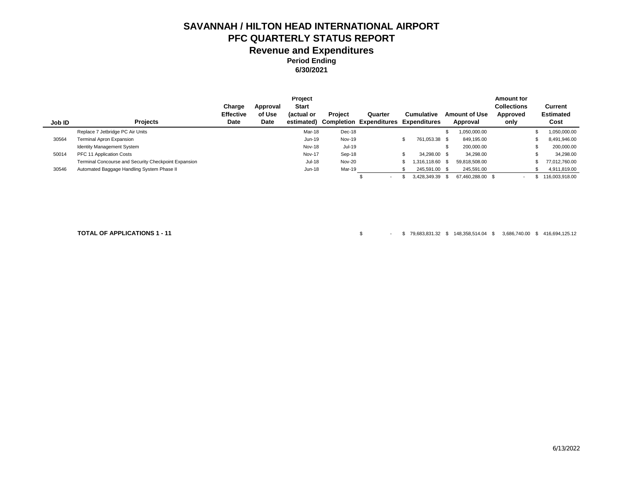**6/30/2021**

|        |                                                      |                  |          | Project       |                |                                             |                   |                      | <b>Amount for</b>        |                  |
|--------|------------------------------------------------------|------------------|----------|---------------|----------------|---------------------------------------------|-------------------|----------------------|--------------------------|------------------|
|        |                                                      | Charge           | Approval | <b>Start</b>  |                |                                             |                   |                      | <b>Collections</b>       | Current          |
|        |                                                      | <b>Effective</b> | of Use   | (actual or    | <b>Project</b> | Quarter                                     | <b>Cumulative</b> | <b>Amount of Use</b> | Approved                 | <b>Estimated</b> |
| Job ID | <b>Projects</b>                                      | Date             | Date     | estimated)    |                | <b>Completion Expenditures Expenditures</b> |                   | Approval             | only                     | Cost             |
|        | Replace 7 Jetbridge PC Air Units                     |                  |          | Mar-18        | Dec-18         |                                             |                   | ,050,000.00          |                          | 1,050,000.00     |
| 30564  | Terminal Apron Expansion                             |                  |          | $Jun-19$      | <b>Nov-19</b>  |                                             | 761.053.38 \$     | 849.195.00           |                          | 8,491,946.00     |
|        | <b>Identity Management System</b>                    |                  |          | Nov-18        | Jul-19         |                                             |                   | 200,000.00           |                          | 200,000.00       |
| 50014  | PFC 11 Application Costs                             |                  |          | <b>Nov-17</b> | Sep-18         |                                             | 34.298.00 \$      | 34,298.00            |                          | 34,298.00        |
|        | Terminal Concourse and Security Checkpoint Expansion |                  |          | <b>Jul-18</b> | <b>Nov-20</b>  |                                             | $.316.118.60$ \$  | 59.818.508.00        |                          | 77.012.760.00    |
| 30546  | Automated Baggage Handling System Phase II           |                  |          | Jun-18        | Mar-19         |                                             | 245,591.00 \$     | 245,591.00           |                          | 4,911,819.00     |
|        |                                                      |                  |          |               |                | $\overline{\phantom{0}}$                    | 3.428.349.39 \$   | 67.460.288.00 \$     | $\overline{\phantom{a}}$ | 116,003,918.00   |

**TOTAL OF APPLICATIONS 1 - 11** \$ - \$ 79,683,831.32 \$ 148,358,514.04 \$ 3,686,740.00 \$ 416,694,125.12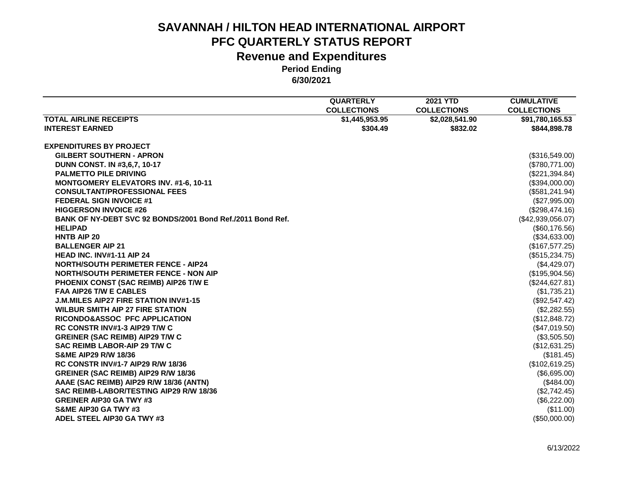|                                                            | <b>QUARTERLY</b>   | <b>2021 YTD</b>    | <b>CUMULATIVE</b>  |
|------------------------------------------------------------|--------------------|--------------------|--------------------|
|                                                            | <b>COLLECTIONS</b> | <b>COLLECTIONS</b> | <b>COLLECTIONS</b> |
| <b>TOTAL AIRLINE RECEIPTS</b>                              | \$1,445,953.95     | \$2,028,541.90     | \$91,780,165.53    |
| <b>INTEREST EARNED</b>                                     | \$304.49           | \$832.02           | \$844,898.78       |
| <b>EXPENDITURES BY PROJECT</b>                             |                    |                    |                    |
| <b>GILBERT SOUTHERN - APRON</b>                            |                    |                    | (\$316,549.00)     |
| DUNN CONST. IN #3,6,7, 10-17                               |                    |                    | (\$780,771.00)     |
| <b>PALMETTO PILE DRIVING</b>                               |                    |                    | (\$221,394.84)     |
| <b>MONTGOMERY ELEVATORS INV. #1-6, 10-11</b>               |                    |                    | (\$394,000.00)     |
| <b>CONSULTANT/PROFESSIONAL FEES</b>                        |                    |                    | (\$581, 241.94)    |
| <b>FEDERAL SIGN INVOICE #1</b>                             |                    |                    | (\$27,995.00)      |
| <b>HIGGERSON INVOICE #26</b>                               |                    |                    | (\$298,474.16)     |
| BANK OF NY-DEBT SVC 92 BONDS/2001 Bond Ref./2011 Bond Ref. |                    |                    | (\$42,939,056.07)  |
| <b>HELIPAD</b>                                             |                    |                    | (\$60,176.56)      |
| <b>HNTB AIP 20</b>                                         |                    |                    | (\$34,633.00)      |
| <b>BALLENGER AIP 21</b>                                    |                    |                    | (\$167,577.25)     |
| HEAD INC. INV#1-11 AIP 24                                  |                    |                    | (\$515,234.75)     |
| <b>NORTH/SOUTH PERIMETER FENCE - AIP24</b>                 |                    |                    | (\$4,429.07)       |
| <b>NORTH/SOUTH PERIMETER FENCE - NON AIP</b>               |                    |                    | (\$195,904.56)     |
| PHOENIX CONST (SAC REIMB) AIP26 T/W E                      |                    |                    | (\$244,627.81)     |
| <b>FAA AIP26 T/W E CABLES</b>                              |                    |                    | (\$1,735.21)       |
| <b>J.M.MILES AIP27 FIRE STATION INV#1-15</b>               |                    |                    | (\$92,547.42)      |
| <b>WILBUR SMITH AIP 27 FIRE STATION</b>                    |                    |                    | (\$2,282.55)       |
| RICONDO&ASSOC PFC APPLICATION                              |                    |                    | (\$12,848.72)      |
| RC CONSTR INV#1-3 AIP29 T/W C                              |                    |                    | (\$47,019.50)      |
| <b>GREINER (SAC REIMB) AIP29 T/W C</b>                     |                    |                    | (\$3,505.50)       |
| SAC REIMB LABOR-AIP 29 T/W C                               |                    |                    | (\$12,631.25)      |
| <b>S&amp;ME AIP29 R/W 18/36</b>                            |                    |                    | (\$181.45)         |
| <b>RC CONSTR INV#1-7 AIP29 R/W 18/36</b>                   |                    |                    | (\$102,619.25)     |
| GREINER (SAC REIMB) AIP29 R/W 18/36                        |                    |                    | (\$6,695.00)       |
| AAAE (SAC REIMB) AIP29 R/W 18/36 (ANTN)                    |                    |                    | (\$484.00)         |
| SAC REIMB-LABOR/TESTING AIP29 R/W 18/36                    |                    |                    | (\$2,742.45)       |
| <b>GREINER AIP30 GA TWY #3</b>                             |                    |                    | (\$6,222.00)       |
| S&ME AIP30 GA TWY #3                                       |                    |                    | (\$11.00)          |
| ADEL STEEL AIP30 GA TWY #3                                 |                    |                    | (\$50,000.00)      |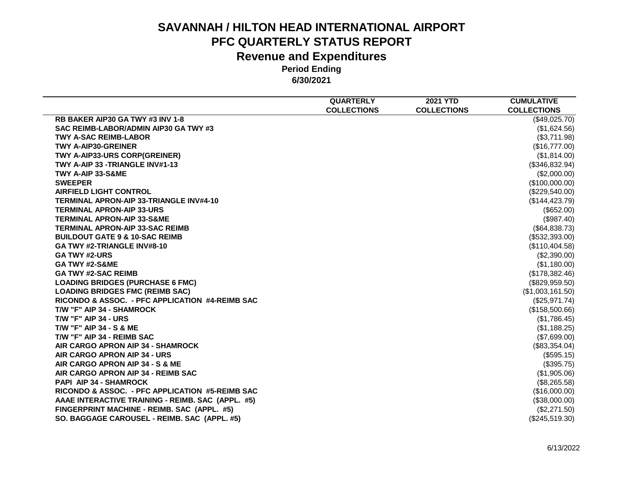|                                                   | <b>QUARTERLY</b>   | <b>2021 YTD</b>    | <b>CUMULATIVE</b>  |
|---------------------------------------------------|--------------------|--------------------|--------------------|
|                                                   | <b>COLLECTIONS</b> | <b>COLLECTIONS</b> | <b>COLLECTIONS</b> |
| RB BAKER AIP30 GA TWY #3 INV 1-8                  |                    |                    | (\$49,025.70)      |
| SAC REIMB-LABOR/ADMIN AIP30 GA TWY #3             |                    |                    | (\$1,624.56)       |
| <b>TWY A-SAC REIMB-LABOR</b>                      |                    |                    | (\$3,711.98)       |
| <b>TWY A-AIP30-GREINER</b>                        |                    |                    | (\$16,777.00)      |
| TWY A-AIP33-URS CORP(GREINER)                     |                    |                    | (\$1,814.00)       |
| TWY A-AIP 33 -TRIANGLE INV#1-13                   |                    |                    | (\$346,832.94)     |
| TWY A-AIP 33-S&ME                                 |                    |                    | (\$2,000.00)       |
| <b>SWEEPER</b>                                    |                    |                    | (\$100,000.00)     |
| <b>AIRFIELD LIGHT CONTROL</b>                     |                    |                    | (\$229,540.00)     |
| <b>TERMINAL APRON-AIP 33-TRIANGLE INV#4-10</b>    |                    |                    | (\$144, 423.79)    |
| <b>TERMINAL APRON-AIP 33-URS</b>                  |                    |                    | (\$652.00)         |
| <b>TERMINAL APRON-AIP 33-S&amp;ME</b>             |                    |                    | (\$987.40)         |
| <b>TERMINAL APRON-AIP 33-SAC REIMB</b>            |                    |                    | (\$64,838.73)      |
| <b>BUILDOUT GATE 9 &amp; 10-SAC REIMB</b>         |                    |                    | (\$532,393.00)     |
| GA TWY #2-TRIANGLE INV#8-10                       |                    |                    | (\$110,404.58)     |
| <b>GA TWY #2-URS</b>                              |                    |                    | (\$2,390.00)       |
| <b>GA TWY #2-S&amp;ME</b>                         |                    |                    | (\$1,180.00)       |
| <b>GA TWY #2-SAC REIMB</b>                        |                    |                    | (\$178,382.46)     |
| <b>LOADING BRIDGES (PURCHASE 6 FMC)</b>           |                    |                    | (\$829,959.50)     |
| <b>LOADING BRIDGES FMC (REIMB SAC)</b>            |                    |                    | (\$1,003,161.50)   |
| RICONDO & ASSOC. - PFC APPLICATION #4-REIMB SAC   |                    |                    | (\$25,971.74)      |
| T/W "F" AIP 34 - SHAMROCK                         |                    |                    | (\$158,500.66)     |
| <b>T/W "F" AIP 34 - URS</b>                       |                    |                    | (\$1,786.45)       |
| <b>T/W "F" AIP 34 - S &amp; ME</b>                |                    |                    | (\$1,188.25)       |
| T/W "F" AIP 34 - REIMB SAC                        |                    |                    | (\$7,699.00)       |
| AIR CARGO APRON AIP 34 - SHAMROCK                 |                    |                    | (\$83,354.04)      |
| AIR CARGO APRON AIP 34 - URS                      |                    |                    | (\$595.15)         |
| AIR CARGO APRON AIP 34 - S & ME                   |                    |                    | (\$395.75)         |
| AIR CARGO APRON AIP 34 - REIMB SAC                |                    |                    | (\$1,905.06)       |
| <b>PAPI AIP 34 - SHAMROCK</b>                     |                    |                    | (\$8,265.58)       |
| RICONDO & ASSOC. - PFC APPLICATION #5-REIMB SAC   |                    |                    | (\$16,000.00)      |
| AAAE INTERACTIVE TRAINING - REIMB. SAC (APPL. #5) |                    |                    | (\$38,000.00)      |
| FINGERPRINT MACHINE - REIMB. SAC (APPL. #5)       |                    |                    | (\$2,271.50)       |
| SO. BAGGAGE CAROUSEL - REIMB. SAC (APPL. #5)      |                    |                    | $(\$245,519.30)$   |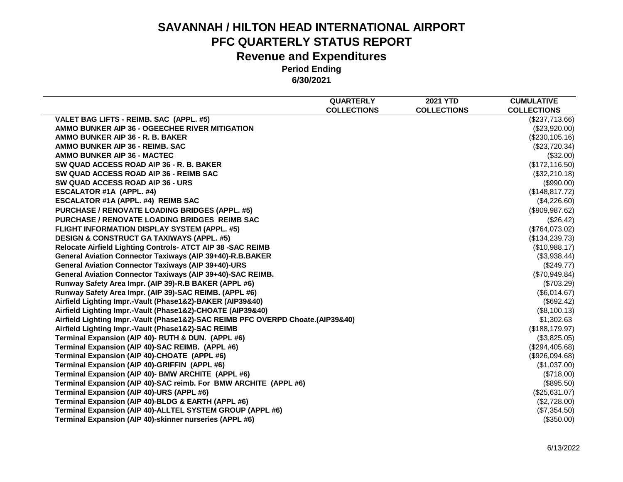|                                                                                 | <b>QUARTERLY</b>   | <b>2021 YTD</b>    | <b>CUMULATIVE</b>  |
|---------------------------------------------------------------------------------|--------------------|--------------------|--------------------|
|                                                                                 | <b>COLLECTIONS</b> | <b>COLLECTIONS</b> | <b>COLLECTIONS</b> |
| VALET BAG LIFTS - REIMB. SAC (APPL. #5)                                         |                    |                    | (\$237,713.66)     |
| AMMO BUNKER AIP 36 - OGEECHEE RIVER MITIGATION                                  |                    |                    | (\$23,920.00)      |
| AMMO BUNKER AIP 36 - R. B. BAKER                                                |                    |                    | (\$230,105.16)     |
| AMMO BUNKER AIP 36 - REIMB. SAC                                                 |                    |                    | (\$23,720.34)      |
| <b>AMMO BUNKER AIP 36 - MACTEC</b>                                              |                    |                    | (\$32.00)          |
| SW QUAD ACCESS ROAD AIP 36 - R. B. BAKER                                        |                    |                    | (\$172, 116.50)    |
| SW QUAD ACCESS ROAD AIP 36 - REIMB SAC                                          |                    |                    | (\$32,210.18)      |
| SW QUAD ACCESS ROAD AIP 36 - URS                                                |                    |                    | (\$990.00)         |
| <b>ESCALATOR #1A (APPL. #4)</b>                                                 |                    |                    | (\$148, 817.72)    |
| ESCALATOR #1A (APPL. #4) REIMB SAC                                              |                    |                    | (\$4,226.60)       |
| <b>PURCHASE / RENOVATE LOADING BRIDGES (APPL. #5)</b>                           |                    |                    | (\$909,987.62)     |
| <b>PURCHASE / RENOVATE LOADING BRIDGES REIMB SAC</b>                            |                    |                    | (\$26.42)          |
| <b>FLIGHT INFORMATION DISPLAY SYSTEM (APPL. #5)</b>                             |                    |                    | (\$764,073.02)     |
| <b>DESIGN &amp; CONSTRUCT GA TAXIWAYS (APPL. #5)</b>                            |                    |                    | (\$134,239.73)     |
| Relocate Airfield Lighting Controls- ATCT AIP 38 -SAC REIMB                     |                    |                    | (\$10,988.17)      |
| General Aviation Connector Taxiways (AIP 39+40)-R.B.BAKER                       |                    |                    | (\$3,938.44)       |
| <b>General Aviation Connector Taxiways (AIP 39+40)-URS</b>                      |                    |                    | (\$249.77)         |
| General Aviation Connector Taxiways (AIP 39+40)-SAC REIMB.                      |                    |                    | (\$70,949.84)      |
| Runway Safety Area Impr. (AIP 39)-R.B BAKER (APPL #6)                           |                    |                    | (\$703.29)         |
| Runway Safety Area Impr. (AIP 39)-SAC REIMB. (APPL #6)                          |                    |                    | (\$6,014.67)       |
| Airfield Lighting Impr.-Vault (Phase1&2)-BAKER (AIP39&40)                       |                    |                    | (\$692.42)         |
| Airfield Lighting Impr.-Vault (Phase1&2)-CHOATE (AIP39&40)                      |                    |                    | (\$8,100.13)       |
| Airfield Lighting Impr.-Vault (Phase1&2)-SAC REIMB PFC OVERPD Choate.(AIP39&40) |                    |                    | \$1,302.63         |
| Airfield Lighting Impr.-Vault (Phase1&2)-SAC REIMB                              |                    |                    | (\$188, 179.97)    |
| Terminal Expansion (AIP 40)- RUTH & DUN. (APPL #6)                              |                    |                    | (\$3,825.05)       |
| Terminal Expansion (AIP 40)-SAC REIMB. (APPL #6)                                |                    |                    | (\$294,405.68)     |
| Terminal Expansion (AIP 40)-CHOATE (APPL #6)                                    |                    |                    | (\$926,094.68)     |
| Terminal Expansion (AIP 40)-GRIFFIN (APPL #6)                                   |                    |                    | (\$1,037.00)       |
| Terminal Expansion (AIP 40)- BMW ARCHITE (APPL #6)                              |                    |                    | (\$718.00)         |
| Terminal Expansion (AIP 40)-SAC reimb. For BMW ARCHITE (APPL #6)                |                    |                    | (\$895.50)         |
| Terminal Expansion (AIP 40)-URS (APPL #6)                                       |                    |                    | (\$25,631.07)      |
| Terminal Expansion (AIP 40)-BLDG & EARTH (APPL #6)                              |                    |                    | (\$2,728.00)       |
| Terminal Expansion (AIP 40)-ALLTEL SYSTEM GROUP (APPL #6)                       |                    |                    | (\$7,354.50)       |
| Terminal Expansion (AIP 40)-skinner nurseries (APPL #6)                         |                    |                    | (\$350.00)         |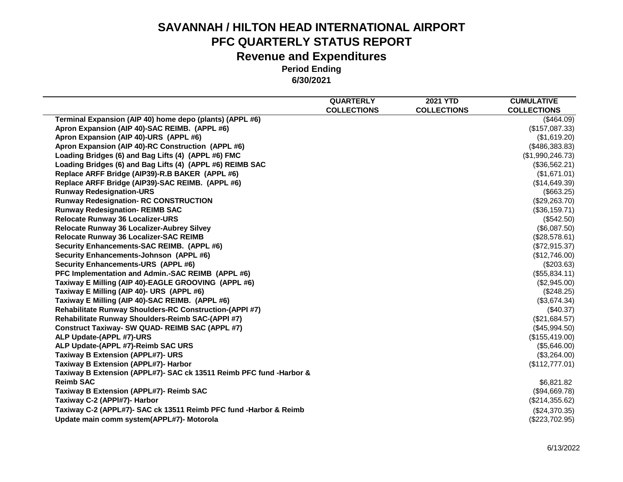|                                                                     | <b>QUARTERLY</b>   | <b>2021 YTD</b>    | <b>CUMULATIVE</b>  |
|---------------------------------------------------------------------|--------------------|--------------------|--------------------|
|                                                                     | <b>COLLECTIONS</b> | <b>COLLECTIONS</b> | <b>COLLECTIONS</b> |
| Terminal Expansion (AIP 40) home depo (plants) (APPL #6)            |                    |                    | (\$464.09)         |
| Apron Expansion (AIP 40)-SAC REIMB. (APPL #6)                       |                    |                    | (\$157,087.33)     |
| Apron Expansion (AIP 40)-URS (APPL #6)                              |                    |                    | (\$1,619.20)       |
| Apron Expansion (AIP 40)-RC Construction (APPL #6)                  |                    |                    | (\$486,383.83)     |
| Loading Bridges (6) and Bag Lifts (4) (APPL #6) FMC                 |                    |                    | (\$1,990,246.73)   |
| Loading Bridges (6) and Bag Lifts (4) (APPL #6) REIMB SAC           |                    |                    | (\$36,562.21)      |
| Replace ARFF Bridge (AIP39)-R.B BAKER (APPL #6)                     |                    |                    | (\$1,671.01)       |
| Replace ARFF Bridge (AIP39)-SAC REIMB. (APPL #6)                    |                    |                    | (\$14,649.39)      |
| <b>Runway Redesignation-URS</b>                                     |                    |                    | (\$663.25)         |
| <b>Runway Redesignation- RC CONSTRUCTION</b>                        |                    |                    | (\$29,263.70)      |
| <b>Runway Redesignation- REIMB SAC</b>                              |                    |                    | (\$36,159.71)      |
| <b>Relocate Runway 36 Localizer-URS</b>                             |                    |                    | (\$542.50)         |
| Relocate Runway 36 Localizer-Aubrey Silvey                          |                    |                    | (\$6,087.50)       |
| Relocate Runway 36 Localizer-SAC REIMB                              |                    |                    | (\$28,578.61)      |
| Security Enhancements-SAC REIMB. (APPL #6)                          |                    |                    | (\$72,915.37)      |
| Security Enhancements-Johnson (APPL #6)                             |                    |                    | (\$12,746.00)      |
| Security Enhancements-URS (APPL #6)                                 |                    |                    | (\$203.63)         |
| PFC Implementation and Admin.-SAC REIMB (APPL #6)                   |                    |                    | (\$55,834.11)      |
| Taxiway E Milling (AIP 40)-EAGLE GROOVING (APPL #6)                 |                    |                    | (\$2,945.00)       |
| Taxiway E Milling (AIP 40)- URS (APPL #6)                           |                    |                    | (\$248.25)         |
| Taxiway E Milling (AIP 40)-SAC REIMB. (APPL #6)                     |                    |                    | (\$3,674.34)       |
| Rehabilitate Runway Shoulders-RC Construction-(APPI #7)             |                    |                    | (\$40.37)          |
| Rehabilitate Runway Shoulders-Reimb SAC-(APPI #7)                   |                    |                    | (\$21,684.57)      |
| Construct Taxiway- SW QUAD- REIMB SAC (APPL #7)                     |                    |                    | (\$45,994.50)      |
| ALP Update-(APPL #7)-URS                                            |                    |                    | (\$155,419.00)     |
| ALP Update-(APPL #7)-Reimb SAC URS                                  |                    |                    | (\$5,646.00)       |
| <b>Taxiway B Extension (APPL#7)- URS</b>                            |                    |                    | (\$3,264.00)       |
| Taxiway B Extension (APPL#7)- Harbor                                |                    |                    | (\$112,777.01)     |
| Taxiway B Extension (APPL#7)- SAC ck 13511 Reimb PFC fund -Harbor & |                    |                    |                    |
| <b>Reimb SAC</b>                                                    |                    |                    | \$6,821.82         |
| Taxiway B Extension (APPL#7)- Reimb SAC                             |                    |                    | (\$94,669.78)      |
| Taxiway C-2 (APPI#7)- Harbor                                        |                    |                    | (\$214,355.62)     |
| Taxiway C-2 (APPL#7)- SAC ck 13511 Reimb PFC fund -Harbor & Reimb   |                    |                    | (\$24,370.35)      |
| Update main comm system(APPL#7)- Motorola                           |                    |                    | (\$223,702.95)     |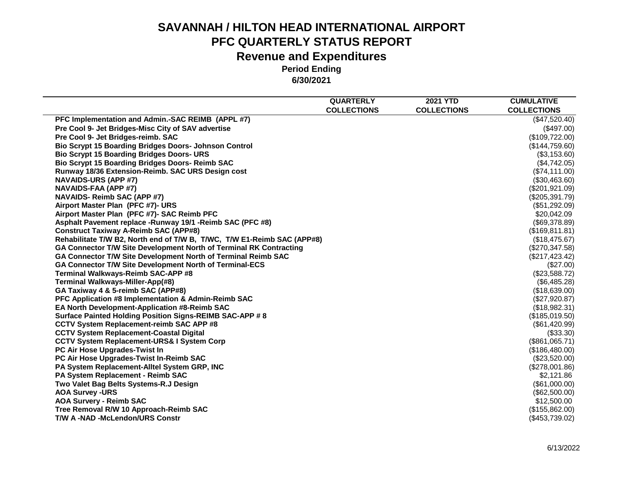|                                                                         | <b>QUARTERLY</b>   | <b>2021 YTD</b>    | <b>CUMULATIVE</b>  |
|-------------------------------------------------------------------------|--------------------|--------------------|--------------------|
|                                                                         | <b>COLLECTIONS</b> | <b>COLLECTIONS</b> | <b>COLLECTIONS</b> |
| PFC Implementation and Admin.-SAC REIMB (APPL #7)                       |                    |                    | (\$47,520.40)      |
| Pre Cool 9- Jet Bridges-Misc City of SAV advertise                      |                    |                    | (\$497.00)         |
| Pre Cool 9- Jet Bridges-reimb. SAC                                      |                    |                    | (\$109,722.00)     |
| <b>Bio Scrypt 15 Boarding Bridges Doors- Johnson Control</b>            |                    |                    | (\$144,759.60)     |
| <b>Bio Scrypt 15 Boarding Bridges Doors- URS</b>                        |                    |                    | (\$3,153.60)       |
| <b>Bio Scrypt 15 Boarding Bridges Doors- Reimb SAC</b>                  |                    |                    | (\$4,742.05)       |
| Runway 18/36 Extension-Reimb. SAC URS Design cost                       |                    |                    | (\$74,111.00)      |
| <b>NAVAIDS-URS (APP #7)</b>                                             |                    |                    | (\$30,463.60)      |
| NAVAIDS-FAA (APP #7)                                                    |                    |                    | (\$201,921.09)     |
| <b>NAVAIDS- Reimb SAC (APP #7)</b>                                      |                    |                    | (\$205,391.79)     |
| Airport Master Plan (PFC #7)- URS                                       |                    |                    | (\$51,292.09)      |
| Airport Master Plan (PFC #7)- SAC Reimb PFC                             |                    |                    | \$20,042.09        |
| Asphalt Pavement replace -Runway 19/1 -Reimb SAC (PFC #8)               |                    |                    | (\$69,378.89)      |
| <b>Construct Taxiway A-Reimb SAC (APP#8)</b>                            |                    |                    | (\$169, 811.81)    |
| Rehabilitate T/W B2, North end of T/W B, T/WC, T/W E1-Reimb SAC (APP#8) |                    |                    | (\$18,475.67)      |
| GA Connector T/W Site Development North of Terminal RK Contracting      |                    |                    | (\$270,347.58)     |
| GA Connector T/W Site Development North of Terminal Reimb SAC           |                    |                    | (\$217, 423.42)    |
| GA Connector T/W Site Development North of Terminal-ECS                 |                    |                    | (\$27.00)          |
| Terminal Walkways-Reimb SAC-APP #8                                      |                    |                    | (\$23,588.72)      |
| Terminal Walkways-Miller-App(#8)                                        |                    |                    | (\$6,485.28)       |
| GA Taxiway 4 & 5-reimb SAC (APP#8)                                      |                    |                    | (\$18,639.00)      |
| PFC Application #8 Implementation & Admin-Reimb SAC                     |                    |                    | (\$27,920.87)      |
| EA North Development-Application #8-Reimb SAC                           |                    |                    | (\$18,982.31)      |
| Surface Painted Holding Position Signs-REIMB SAC-APP # 8                |                    |                    | (\$185,019.50)     |
| <b>CCTV System Replacement-reimb SAC APP #8</b>                         |                    |                    | (\$61,420.99)      |
| <b>CCTV System Replacement-Coastal Digital</b>                          |                    |                    | (\$33.30)          |
| <b>CCTV System Replacement-URS&amp; I System Corp</b>                   |                    |                    | (\$861,065.71)     |
| PC Air Hose Upgrades-Twist In                                           |                    |                    | (\$186,480.00)     |
| PC Air Hose Upgrades-Twist In-Reimb SAC                                 |                    |                    | (\$23,520.00)      |
| PA System Replacement-Alltel System GRP, INC                            |                    |                    | (\$278,001.86)     |
| PA System Replacement - Reimb SAC                                       |                    |                    | \$2,121.86         |
| Two Valet Bag Belts Systems-R.J Design                                  |                    |                    | (\$61,000.00)      |
| <b>AOA Survey -URS</b>                                                  |                    |                    | (\$62,500.00)      |
| <b>AOA Survery - Reimb SAC</b>                                          |                    |                    | \$12,500.00        |
| Tree Removal R/W 10 Approach-Reimb SAC                                  |                    |                    | (\$155,862.00)     |
| <b>T/W A-NAD-McLendon/URS Constr</b>                                    |                    |                    | (\$453,739.02)     |